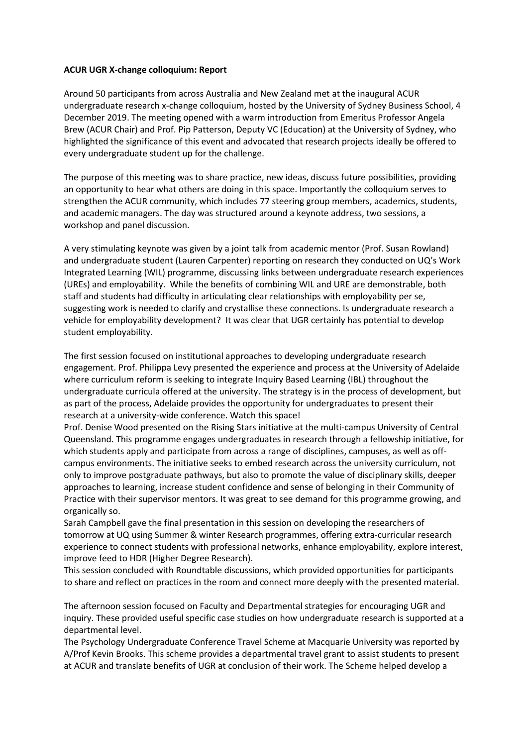## **ACUR UGR X-change colloquium: Report**

Around 50 participants from across Australia and New Zealand met at the inaugural ACUR undergraduate research x-change colloquium, hosted by the University of Sydney Business School, 4 December 2019. The meeting opened with a warm introduction from Emeritus Professor Angela Brew (ACUR Chair) and Prof. Pip Patterson, Deputy VC (Education) at the University of Sydney, who highlighted the significance of this event and advocated that research projects ideally be offered to every undergraduate student up for the challenge.

The purpose of this meeting was to share practice, new ideas, discuss future possibilities, providing an opportunity to hear what others are doing in this space. Importantly the colloquium serves to strengthen the ACUR community, which includes 77 steering group members, academics, students, and academic managers. The day was structured around a keynote address, two sessions, a workshop and panel discussion.

A very stimulating keynote was given by a joint talk from academic mentor (Prof. Susan Rowland) and undergraduate student (Lauren Carpenter) reporting on research they conducted on UQ's Work Integrated Learning (WIL) programme, discussing links between undergraduate research experiences (UREs) and employability. While the benefits of combining WIL and URE are demonstrable, both staff and students had difficulty in articulating clear relationships with employability per se, suggesting work is needed to clarify and crystallise these connections. Is undergraduate research a vehicle for employability development? It was clear that UGR certainly has potential to develop student employability.

The first session focused on institutional approaches to developing undergraduate research engagement. Prof. Philippa Levy presented the experience and process at the University of Adelaide where curriculum reform is seeking to integrate Inquiry Based Learning (IBL) throughout the undergraduate curricula offered at the university. The strategy is in the process of development, but as part of the process, Adelaide provides the opportunity for undergraduates to present their research at a university-wide conference. Watch this space!

Prof. Denise Wood presented on the Rising Stars initiative at the multi-campus University of Central Queensland. This programme engages undergraduates in research through a fellowship initiative, for which students apply and participate from across a range of disciplines, campuses, as well as offcampus environments. The initiative seeks to embed research across the university curriculum, not only to improve postgraduate pathways, but also to promote the value of disciplinary skills, deeper approaches to learning, increase student confidence and sense of belonging in their Community of Practice with their supervisor mentors. It was great to see demand for this programme growing, and organically so.

Sarah Campbell gave the final presentation in this session on developing the researchers of tomorrow at UQ using Summer & winter Research programmes, offering extra-curricular research experience to connect students with professional networks, enhance employability, explore interest, improve feed to HDR (Higher Degree Research).

This session concluded with Roundtable discussions, which provided opportunities for participants to share and reflect on practices in the room and connect more deeply with the presented material.

The afternoon session focused on Faculty and Departmental strategies for encouraging UGR and inquiry. These provided useful specific case studies on how undergraduate research is supported at a departmental level.

The Psychology Undergraduate Conference Travel Scheme at Macquarie University was reported by A/Prof Kevin Brooks. This scheme provides a departmental travel grant to assist students to present at ACUR and translate benefits of UGR at conclusion of their work. The Scheme helped develop a